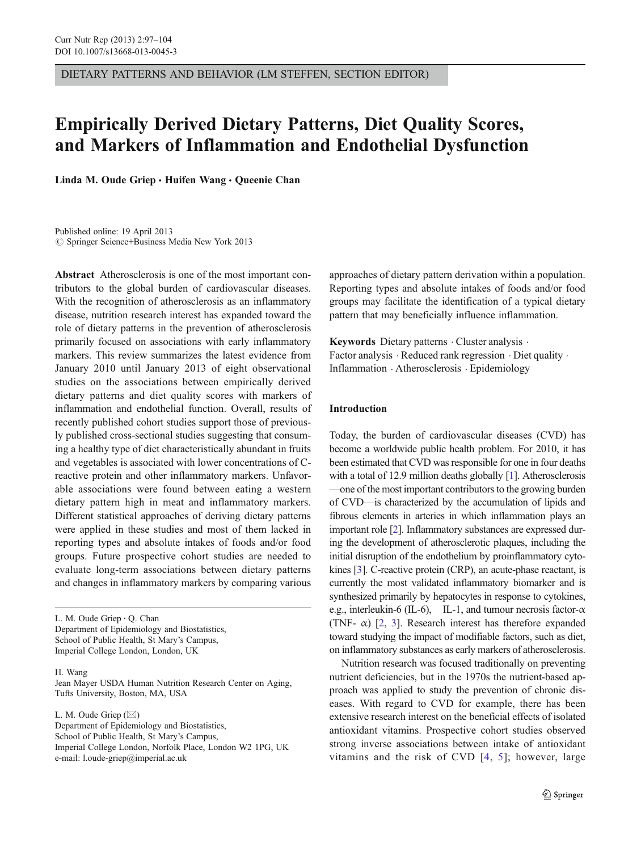DIETARY PATTERNS AND BEHAVIOR (LM STEFFEN, SECTION EDITOR)

# Empirically Derived Dietary Patterns, Diet Quality Scores, and Markers of Inflammation and Endothelial Dysfunction

Linda M. Oude Griep · Huifen Wang · Queenie Chan

Published online: 19 April 2013  $\circledcirc$  Springer Science+Business Media New York 2013

Abstract Atherosclerosis is one of the most important contributors to the global burden of cardiovascular diseases. With the recognition of atherosclerosis as an inflammatory disease, nutrition research interest has expanded toward the role of dietary patterns in the prevention of atherosclerosis primarily focused on associations with early inflammatory markers. This review summarizes the latest evidence from January 2010 until January 2013 of eight observational studies on the associations between empirically derived dietary patterns and diet quality scores with markers of inflammation and endothelial function. Overall, results of recently published cohort studies support those of previously published cross-sectional studies suggesting that consuming a healthy type of diet characteristically abundant in fruits and vegetables is associated with lower concentrations of Creactive protein and other inflammatory markers. Unfavorable associations were found between eating a western dietary pattern high in meat and inflammatory markers. Different statistical approaches of deriving dietary patterns were applied in these studies and most of them lacked in reporting types and absolute intakes of foods and/or food groups. Future prospective cohort studies are needed to evaluate long-term associations between dietary patterns and changes in inflammatory markers by comparing various

L. M. Oude Griep : Q. Chan Department of Epidemiology and Biostatistics, School of Public Health, St Mary's Campus, Imperial College London, London, UK

H. Wang

L. M. Oude Griep  $(\boxtimes)$ Department of Epidemiology and Biostatistics, School of Public Health, St Mary's Campus, Imperial College London, Norfolk Place, London W2 1PG, UK e-mail: l.oude-griep@imperial.ac.uk

approaches of dietary pattern derivation within a population. Reporting types and absolute intakes of foods and/or food groups may facilitate the identification of a typical dietary pattern that may beneficially influence inflammation.

Keywords Dietary patterns  $\cdot$  Cluster analysis  $\cdot$ Factor analysis . Reduced rank regression . Diet quality . Inflammation . Atherosclerosis . Epidemiology

# Introduction

Today, the burden of cardiovascular diseases (CVD) has become a worldwide public health problem. For 2010, it has been estimated that CVD was responsible for one in four deaths with a total of 12.9 million deaths globally [\[1\]](#page-6-0). Atherosclerosis —one of the most important contributors to the growing burden of CVD—is characterized by the accumulation of lipids and fibrous elements in arteries in which inflammation plays an important role [\[2](#page-6-0)]. Inflammatory substances are expressed during the development of atherosclerotic plaques, including the initial disruption of the endothelium by proinflammatory cytokines [[3\]](#page-6-0). C-reactive protein (CRP), an acute-phase reactant, is currently the most validated inflammatory biomarker and is synthesized primarily by hepatocytes in response to cytokines, e.g., interleukin-6 (IL-6), IL-1, and tumour necrosis factor- $\alpha$ (TNF- $\alpha$ ) [\[2](#page-6-0), [3\]](#page-6-0). Research interest has therefore expanded toward studying the impact of modifiable factors, such as diet, on inflammatory substances as early markers of atherosclerosis.

Nutrition research was focused traditionally on preventing nutrient deficiencies, but in the 1970s the nutrient-based approach was applied to study the prevention of chronic diseases. With regard to CVD for example, there has been extensive research interest on the beneficial effects of isolated antioxidant vitamins. Prospective cohort studies observed strong inverse associations between intake of antioxidant vitamins and the risk of CVD [[4](#page-6-0), [5](#page-6-0)]; however, large

Jean Mayer USDA Human Nutrition Research Center on Aging, Tufts University, Boston, MA, USA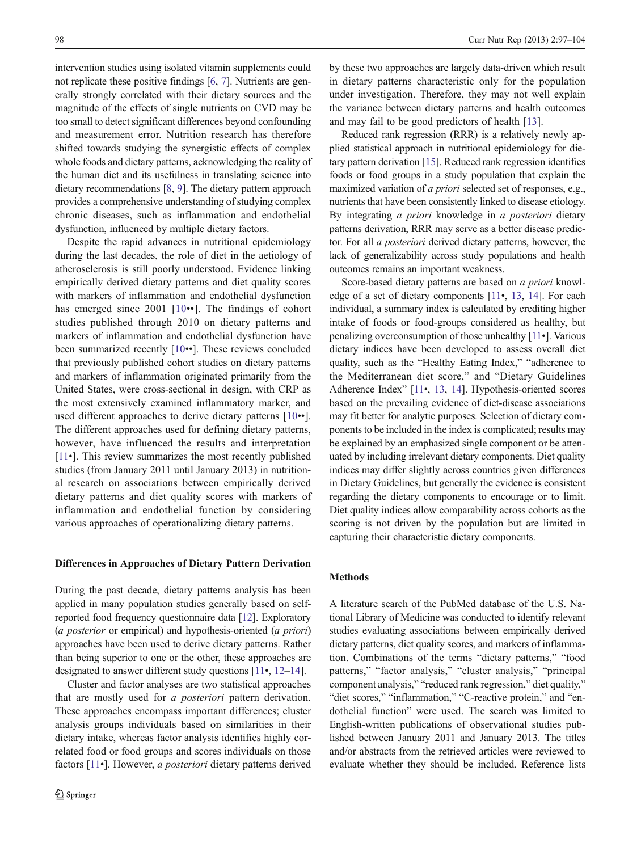intervention studies using isolated vitamin supplements could not replicate these positive findings [\[6](#page-7-0), [7](#page-7-0)]. Nutrients are generally strongly correlated with their dietary sources and the magnitude of the effects of single nutrients on CVD may be too small to detect significant differences beyond confounding and measurement error. Nutrition research has therefore shifted towards studying the synergistic effects of complex whole foods and dietary patterns, acknowledging the reality of the human diet and its usefulness in translating science into dietary recommendations [[8,](#page-7-0) [9](#page-7-0)]. The dietary pattern approach provides a comprehensive understanding of studying complex chronic diseases, such as inflammation and endothelial dysfunction, influenced by multiple dietary factors.

Despite the rapid advances in nutritional epidemiology during the last decades, the role of diet in the aetiology of atherosclerosis is still poorly understood. Evidence linking empirically derived dietary patterns and diet quality scores with markers of inflammation and endothelial dysfunction has emerged since 2001 [[10](#page-7-0)••]. The findings of cohort studies published through 2010 on dietary patterns and markers of inflammation and endothelial dysfunction have been summarized recently [\[10](#page-7-0)••]. These reviews concluded that previously published cohort studies on dietary patterns and markers of inflammation originated primarily from the United States, were cross-sectional in design, with CRP as the most extensively examined inflammatory marker, and used different approaches to derive dietary patterns [[10](#page-7-0)••]. The different approaches used for defining dietary patterns, however, have influenced the results and interpretation [\[11](#page-7-0)•]. This review summarizes the most recently published studies (from January 2011 until January 2013) in nutritional research on associations between empirically derived dietary patterns and diet quality scores with markers of inflammation and endothelial function by considering various approaches of operationalizing dietary patterns.

## Differences in Approaches of Dietary Pattern Derivation

During the past decade, dietary patterns analysis has been applied in many population studies generally based on selfreported food frequency questionnaire data [[12\]](#page-7-0). Exploratory (a posterior or empirical) and hypothesis-oriented (a priori) approaches have been used to derive dietary patterns. Rather than being superior to one or the other, these approaches are designated to answer different study questions [[11](#page-7-0)•, [12](#page-7-0)–[14](#page-7-0)].

Cluster and factor analyses are two statistical approaches that are mostly used for a posteriori pattern derivation. These approaches encompass important differences; cluster analysis groups individuals based on similarities in their dietary intake, whereas factor analysis identifies highly correlated food or food groups and scores individuals on those factors [[11](#page-7-0)•]. However, *a posteriori* dietary patterns derived by these two approaches are largely data-driven which result in dietary patterns characteristic only for the population under investigation. Therefore, they may not well explain the variance between dietary patterns and health outcomes and may fail to be good predictors of health [\[13](#page-7-0)].

Reduced rank regression (RRR) is a relatively newly applied statistical approach in nutritional epidemiology for dietary pattern derivation [\[15](#page-7-0)]. Reduced rank regression identifies foods or food groups in a study population that explain the maximized variation of a priori selected set of responses, e.g., nutrients that have been consistently linked to disease etiology. By integrating a priori knowledge in a posteriori dietary patterns derivation, RRR may serve as a better disease predictor. For all a posteriori derived dietary patterns, however, the lack of generalizability across study populations and health outcomes remains an important weakness.

Score-based dietary patterns are based on a priori knowledge of a set of dietary components [\[11](#page-7-0)•, [13,](#page-7-0) [14\]](#page-7-0). For each individual, a summary index is calculated by crediting higher intake of foods or food-groups considered as healthy, but penalizing overconsumption of those unhealthy [\[11](#page-7-0)•]. Various dietary indices have been developed to assess overall diet quality, such as the "Healthy Eating Index," "adherence to the Mediterranean diet score," and "Dietary Guidelines Adherence Index" [[11](#page-7-0)•, [13](#page-7-0), [14](#page-7-0)]. Hypothesis-oriented scores based on the prevailing evidence of diet-disease associations may fit better for analytic purposes. Selection of dietary components to be included in the index is complicated; results may be explained by an emphasized single component or be attenuated by including irrelevant dietary components. Diet quality indices may differ slightly across countries given differences in Dietary Guidelines, but generally the evidence is consistent regarding the dietary components to encourage or to limit. Diet quality indices allow comparability across cohorts as the scoring is not driven by the population but are limited in capturing their characteristic dietary components.

# Methods

A literature search of the PubMed database of the U.S. National Library of Medicine was conducted to identify relevant studies evaluating associations between empirically derived dietary patterns, diet quality scores, and markers of inflammation. Combinations of the terms "dietary patterns," "food patterns," "factor analysis," "cluster analysis," "principal component analysis," "reduced rank regression," diet quality," "diet scores," "inflammation," "C-reactive protein," and "endothelial function" were used. The search was limited to English-written publications of observational studies published between January 2011 and January 2013. The titles and/or abstracts from the retrieved articles were reviewed to evaluate whether they should be included. Reference lists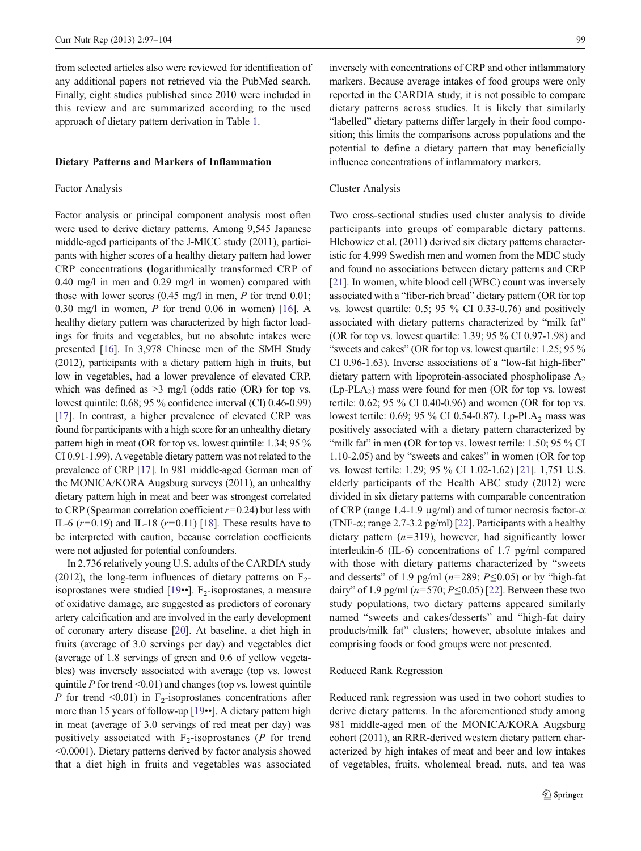from selected articles also were reviewed for identification of any additional papers not retrieved via the PubMed search. Finally, eight studies published since 2010 were included in this review and are summarized according to the used approach of dietary pattern derivation in Table [1](#page-3-0).

#### Dietary Patterns and Markers of Inflammation

#### Factor Analysis

Factor analysis or principal component analysis most often were used to derive dietary patterns. Among 9,545 Japanese middle-aged participants of the J-MICC study (2011), participants with higher scores of a healthy dietary pattern had lower CRP concentrations (logarithmically transformed CRP of 0.40 mg/l in men and 0.29 mg/l in women) compared with those with lower scores (0.45 mg/l in men, P for trend 0.01; 0.30 mg/l in women, P for trend 0.06 in women) [\[16](#page-7-0)]. A healthy dietary pattern was characterized by high factor loadings for fruits and vegetables, but no absolute intakes were presented [[16\]](#page-7-0). In 3,978 Chinese men of the SMH Study (2012), participants with a dietary pattern high in fruits, but low in vegetables, had a lower prevalence of elevated CRP, which was defined as  $>3$  mg/l (odds ratio (OR) for top vs. lowest quintile: 0.68; 95 % confidence interval (CI) 0.46-0.99) [\[17\]](#page-7-0). In contrast, a higher prevalence of elevated CRP was found for participants with a high score for an unhealthy dietary pattern high in meat (OR for top vs. lowest quintile: 1.34; 95 % CI 0.91-1.99). A vegetable dietary pattern was not related to the prevalence of CRP [[17](#page-7-0)]. In 981 middle-aged German men of the MONICA/KORA Augsburg surveys (2011), an unhealthy dietary pattern high in meat and beer was strongest correlated to CRP (Spearman correlation coefficient  $r=0.24$ ) but less with IL-6 ( $r=0.19$ ) and IL-18 ( $r=0.11$ ) [\[18\]](#page-7-0). These results have to be interpreted with caution, because correlation coefficients were not adjusted for potential confounders.

In 2,736 relatively young U.S. adults of the CARDIA study (2012), the long-term influences of dietary patterns on  $F_2$ isoprostanes were studied  $[19\cdot \cdot]$  $[19\cdot \cdot]$ . F<sub>2</sub>-isoprostanes, a measure of oxidative damage, are suggested as predictors of coronary artery calcification and are involved in the early development of coronary artery disease [[20](#page-7-0)]. At baseline, a diet high in fruits (average of 3.0 servings per day) and vegetables diet (average of 1.8 servings of green and 0.6 of yellow vegetables) was inversely associated with average (top vs. lowest quintile  $P$  for trend <0.01) and changes (top vs. lowest quintile P for trend  $\leq 0.01$ ) in F<sub>2</sub>-isoprostanes concentrations after more than 15 years of follow-up [\[19](#page-7-0)••]. A dietary pattern high in meat (average of 3.0 servings of red meat per day) was positively associated with  $F_2$ -isoprostanes (P for trend <0.0001). Dietary patterns derived by factor analysis showed that a diet high in fruits and vegetables was associated inversely with concentrations of CRP and other inflammatory markers. Because average intakes of food groups were only reported in the CARDIA study, it is not possible to compare dietary patterns across studies. It is likely that similarly "labelled" dietary patterns differ largely in their food composition; this limits the comparisons across populations and the potential to define a dietary pattern that may beneficially influence concentrations of inflammatory markers.

#### Cluster Analysis

Two cross-sectional studies used cluster analysis to divide participants into groups of comparable dietary patterns. Hlebowicz et al. (2011) derived six dietary patterns characteristic for 4,999 Swedish men and women from the MDC study and found no associations between dietary patterns and CRP [\[21](#page-7-0)]. In women, white blood cell (WBC) count was inversely associated with a "fiber-rich bread" dietary pattern (OR for top vs. lowest quartile: 0.5; 95 % CI 0.33-0.76) and positively associated with dietary patterns characterized by "milk fat" (OR for top vs. lowest quartile: 1.39; 95 % CI 0.97-1.98) and "sweets and cakes" (OR for top vs. lowest quartile: 1.25; 95 % CI 0.96-1.63). Inverse associations of a "low-fat high-fiber" dietary pattern with lipoprotein-associated phospholipase  $A_2$  $(Lp-PLA_2)$  mass were found for men (OR for top vs. lowest tertile: 0.62; 95 % CI 0.40-0.96) and women (OR for top vs. lowest tertile:  $0.69$ ;  $95\%$  CI 0.54-0.87). Lp-PLA<sub>2</sub> mass was positively associated with a dietary pattern characterized by "milk fat" in men (OR for top vs. lowest tertile: 1.50; 95 % CI 1.10-2.05) and by "sweets and cakes" in women (OR for top vs. lowest tertile: 1.29; 95 % CI 1.02-1.62) [\[21](#page-7-0)]. 1,751 U.S. elderly participants of the Health ABC study (2012) were divided in six dietary patterns with comparable concentration of CRP (range 1.4-1.9 μg/ml) and of tumor necrosis factor- $\alpha$ (TNF- $\alpha$ ; range 2.7-3.2 pg/ml) [[22](#page-7-0)]. Participants with a healthy dietary pattern  $(n=319)$ , however, had significantly lower interleukin-6 (IL-6) concentrations of 1.7 pg/ml compared with those with dietary patterns characterized by "sweets and desserts" of 1.9 pg/ml ( $n=289$ ;  $P\leq 0.05$ ) or by "high-fat dairy" of 1.9 pg/ml ( $n=570; P \le 0.05$ ) [\[22](#page-7-0)]. Between these two study populations, two dietary patterns appeared similarly named "sweets and cakes/desserts" and "high-fat dairy products/milk fat" clusters; however, absolute intakes and comprising foods or food groups were not presented.

## Reduced Rank Regression

Reduced rank regression was used in two cohort studies to derive dietary patterns. In the aforementioned study among 981 middle-aged men of the MONICA/KORA Augsburg cohort (2011), an RRR-derived western dietary pattern characterized by high intakes of meat and beer and low intakes of vegetables, fruits, wholemeal bread, nuts, and tea was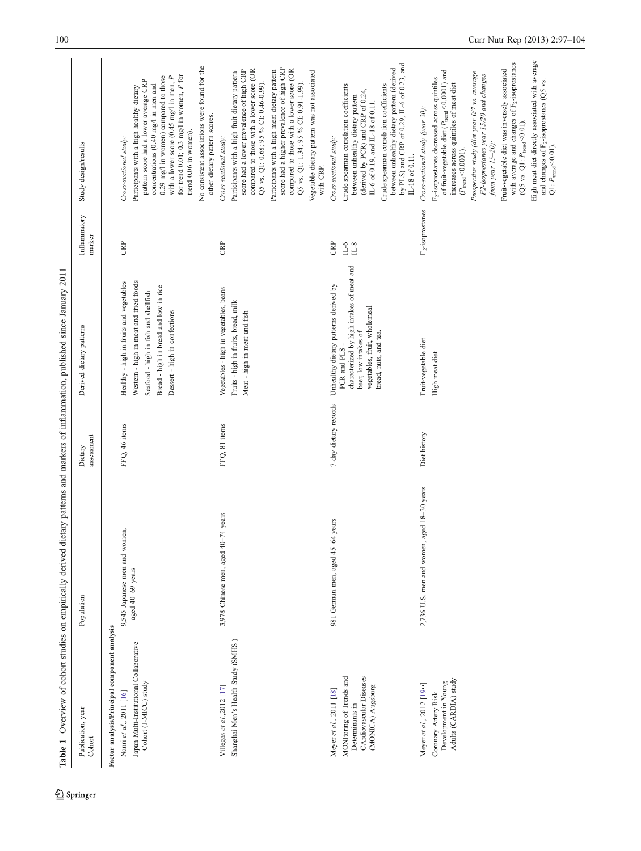<span id="page-3-0"></span>

|                                                                                                                                             | Table 1 Overview of cohort studies on empirically derived dietary patterns and markers of inflammation, published since January 2011 |                       |                                                                                                                                                                                                     |                              |                                                                                                                                                                                                                                                                                                                                                                                                                                                                                                                                                                                                                                               |
|---------------------------------------------------------------------------------------------------------------------------------------------|--------------------------------------------------------------------------------------------------------------------------------------|-----------------------|-----------------------------------------------------------------------------------------------------------------------------------------------------------------------------------------------------|------------------------------|-----------------------------------------------------------------------------------------------------------------------------------------------------------------------------------------------------------------------------------------------------------------------------------------------------------------------------------------------------------------------------------------------------------------------------------------------------------------------------------------------------------------------------------------------------------------------------------------------------------------------------------------------|
| Publication, year<br>$_{\rm Cohort}$                                                                                                        | Population                                                                                                                           | assessment<br>Dietary | Derived dietary patterns                                                                                                                                                                            | Inflammatory<br>marker       | Study design/results                                                                                                                                                                                                                                                                                                                                                                                                                                                                                                                                                                                                                          |
| Factor analysis/Principal component analysis<br>Japan Multi-Institutional Collaborative<br>Cohort (J-MICC) study<br>Nanri et al., 2011 [16] | 9,545 Japanese men and women,<br>aged 40-69 years                                                                                    | FFQ, 46 items         | Western - high in meat and fried foods<br>Healthy - high in fruits and vegetables<br>Bread - high in bread and low in rice<br>Seafood - high in fish and shellfish<br>Dessert - high in confections | <b>CRP</b>                   | No consistent associations were found for the<br>for trend 0.01; 0.3 mg/l in women, $P$ for<br>with a lower score (0.45 mg/l in men, $P$<br>0.29 mg/l in women) compared to those<br>pattern score had a lower average CRP<br>concentrations (0.40 mg/l in men and<br>Participants with a high healthy dietary<br>trend 0.06 in women).<br>Cross-sectional study:                                                                                                                                                                                                                                                                             |
| Shanghai Men's Health Study (SMHS)<br>Villegas et al.,2012 [17]                                                                             | -74 years<br>3,978 Chinese men, aged 40-                                                                                             | FFQ, 81 items         | Vegetables - high in vegetables, beans<br>Fruits - high in fruits, bread, milk<br>Meat - high in meat and fish                                                                                      | CRP                          | score had a higher prevalence of high CRP<br>score had a lower prevalence of high CRP<br>compared to those with a lower score (OR<br>compared to those with a lower score (OR<br>Participants with a high meat dietary pattern<br>Vegetable dietary pattern was not associated<br>Participants with a high fruit dietary pattern<br>Q5 vs. Q1: 0.68; 95 % CI: 0.46-0.99).<br>Q5 vs. Q1: 1.34; 95 % CI: 0.91-1.99).<br>other dietary pattern scores.<br>Cross-sectional study:<br>with CRP.                                                                                                                                                    |
| CArdiovascular Diseases<br>MONItoring of Trends and<br>(MONICA) Augsburg<br>Meyer et al., 2011 [18]<br>Determinants in                      | years<br>981 German men, aged 45-64                                                                                                  | 7-day dietary records | characterized by high intakes of meat and<br>Unhealthy dietary patterns derived by<br>vegetables, fruit, wholemeal<br>bread, nuts, and tea.<br>beer, low intakes of<br>PCR and PLS -                | CRP<br>$_{\rm IL6}$<br>$L-8$ | by PLS) and CRP of 0.29, IL-6 of 0.23, and<br>between unhealthy dietary pattern (derived<br>Crude spearman correlation coefficients<br>Crude spearman correlation coefficients<br>(derived by PCR) and CRP of 0.24,<br>between unhealthy dietary pattern<br>IL-6 of 0.19, and IL-18 of 0.11.<br>Cross-sectional study:<br>IL-18 of 0.11.                                                                                                                                                                                                                                                                                                      |
| Adults (CARDIA) study<br>Development in Young<br>Meyer et al., 2012 [19••]<br>Coronary Artery Risk                                          | 2,736 U.S. men and women, aged 18-30 years                                                                                           | Diet history          | Fruit-vegetable diet<br>High meat diet                                                                                                                                                              | F <sub>2</sub> -isoprostanes | High meat diet directly associated with average<br>with average and changes of F <sub>2</sub> -isoprostanes<br>of fruit-vegetable diet ( $P_{\text{rend}}$ <0.0001) and<br>Fruit-vegetable diet was inversely associated<br>Prospective study (diet year 0/7 vs. average<br>F2-isoprostanes year 15/20 and changes<br>$F_2$ -isoprostanes decreased across quintiles<br>and changes of F <sub>2</sub> -isoprostanes (Q5 vs.<br>increases across quintiles of meat diet<br>Cross-sectional study (year 20):<br>(Q5 vs. Q1: $P_{\text{trend}} < 0.01$ ).<br>from year $15-20$ ):<br>$Q1: P_{wend} < 0.01$ ).<br>$(P_{\mathrm{trend}}{<}0.0001)$ |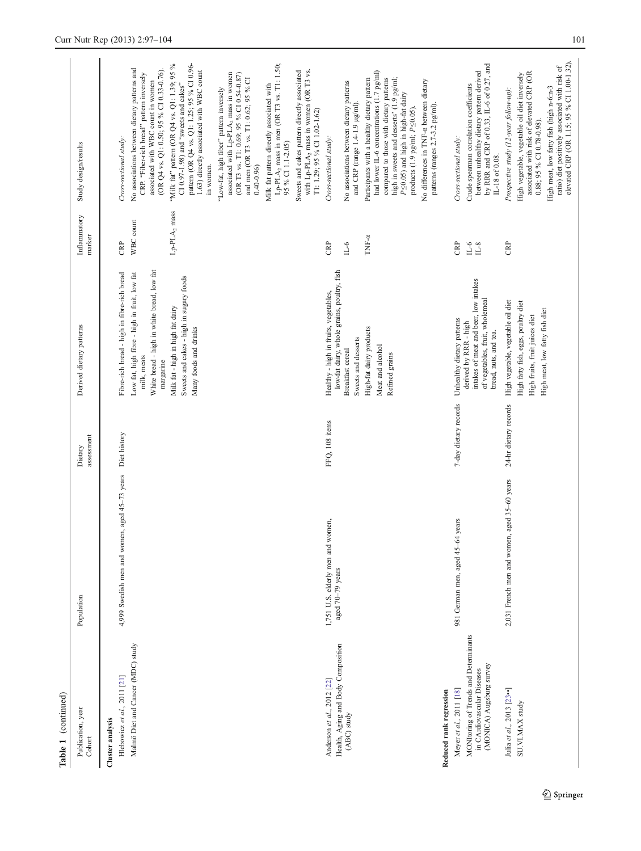| Table 1 (continued)                                                                                                        |                                                       |                       |                                                                                                                                                                                                                                                                                |                                                    |                                                                                                                                                                                                                                                                                                                                                                                                                                                                                                                                                                                                                                                                                                                                                                                                                                                                              |  |
|----------------------------------------------------------------------------------------------------------------------------|-------------------------------------------------------|-----------------------|--------------------------------------------------------------------------------------------------------------------------------------------------------------------------------------------------------------------------------------------------------------------------------|----------------------------------------------------|------------------------------------------------------------------------------------------------------------------------------------------------------------------------------------------------------------------------------------------------------------------------------------------------------------------------------------------------------------------------------------------------------------------------------------------------------------------------------------------------------------------------------------------------------------------------------------------------------------------------------------------------------------------------------------------------------------------------------------------------------------------------------------------------------------------------------------------------------------------------------|--|
| Publication, year<br>Cohort                                                                                                | Population                                            | assessment<br>Dietary | Derived dietary patterns                                                                                                                                                                                                                                                       | Inflammatory<br>marker                             | Study design/results                                                                                                                                                                                                                                                                                                                                                                                                                                                                                                                                                                                                                                                                                                                                                                                                                                                         |  |
| Malmö Diet and Cancer (MDC) study<br>Hlebowicz et al., 2011 [21]<br>Cluster analysis                                       | 4,999 Swedish men and women, aged 45-73 years         | Diet history          | White bread - high in white bread, low fat<br>Fibre-rich bread - high in fibre-rich bread<br>Low fat, high fibre - high in fruit, low fat<br>Sweets and cakes - high in sugary foods<br>Milk fat - high in high fat dairy<br>Many foods and drinks<br>milk, meats<br>margarine | Lp-PLA <sub>2</sub> mass<br>WBC count<br><b>BP</b> | "Milk fat" pattern (OR Q4 vs. Q1: 1.39; 95 %<br>pattern (OR Q4 vs. Q1: 1.25; 95 % CI 0.96-<br>Lp-PLA <sub>2</sub> mass in men (OR T3 vs. T1: 1.50;<br>No associations between dietary patterns and<br>(OR Q4 vs. Q1: 0.50; 95 % CI 0.33-0.76).<br>with Lp-PLA <sub>2</sub> mass in women (OR T3 vs.<br>1.63) directly associated with WBC count<br>Sweets and cakes pattern directly associated<br>associated with Lp-PLA <sub>2</sub> mass in women<br>CRP. "Fiber-rich bread" pattern inversely<br>(OR T3 vs. T1: 0.69; 95 % CI 0.54-0.87)<br>and men (OR T3 vs. T1: $0.62;$ 95 $\%$ CI<br>associated with WBC count in women<br>CI 0.97-1.98) and "sweets and cakes"<br>Milk fat pattern directly associated with<br>"Low-fat, high fiber" pattern inversely<br>T1: 1.29; 95 % CI 1.02-1.62)<br>Cross-sectional study:<br>95 % CI 1.1-2.05)<br>in women.<br>$0.40 - 0.96$ |  |
| Health, Aging and Body Composition<br>Anderson et al., 2012 [22]<br>Reduced rank regression<br>(ABC) study                 | 1,751 U.S. elderly men and women,<br>aged 70-79 years | FFQ, 108 items        | low-fat dairy, whole grains, poultry, fish<br>Healthy - high in fruits, vegetables,<br>High-fat dairy products<br>Sweets and desserts<br>Meat and alcohol<br><b>Breakfast</b> cereal<br>Refined grains                                                                         | TNF-a<br><b>CRP</b><br>$_{0-1}$                    | had lower IL-6 concentrations (1.7 pg/ml)<br>compared to those with dietary patterns<br>Participants with a healthy dietary pattern<br>high in sweets and desserts' (1.9 pg/ml;<br>No differences in TNF-a between dietary<br>No associations between dietary patterns<br>$P \le 0.05$ ) and high in high-fat dairy<br>and CRP (range 1.4-1.9 µg/ml).<br>patterns (ranges 2.7-3.2 pg/ml).<br>products (1.9 pg/ml; $P \le 0.05$ ).<br>Cross-sectional study:                                                                                                                                                                                                                                                                                                                                                                                                                  |  |
| MONItoring of Trends and Determinants<br>(MONICA) Augsburg survey<br>in CArdiovascular Diseases<br>Meyer et al., 2011 [18] | years<br>981 German men, aged 45-64                   | 7-day dietary records | intakes of meat and beer, low intakes<br>of vegetables, fruit, wholemeal<br>Unhealthy dietary patterns<br>derived by RRR - high<br>bread, nuts, and tea.                                                                                                                       | CRP<br>$_{\rm II-6}$<br>$_{\rm IL8}$               | by RRR and CRP of 0.33, IL-6 of 0.27, and<br>between unhealthy dietary pattern derived<br>Crude spearman correlation coefficients<br>Cross-sectional study:<br>IL-18 of 0.08.                                                                                                                                                                                                                                                                                                                                                                                                                                                                                                                                                                                                                                                                                                |  |
| Julia et al., 2013 [23••]<br>SU.VI.MAX study                                                                               | 2,031 French men and women, aged 35-60 years          | 24-hr dietary records | High vegetable, vegetable oil diet<br>High fatty fish, eggs, poultry diet<br>High meat, low fatty fish diet<br>High fruits, fruit juices diet                                                                                                                                  | <b>CRP</b>                                         | elevated CRP (OR 1.15; 95 % CI 1.00-1.32).<br>ratio) diet positively associated with risk of<br>associated with risk of elevated CRP (OR<br>High vegetable, vegetable oil diet inversely<br>High meat, low fatty fish (high n-6:n-3<br>Prospective study (12-year follow-up):<br>$0.88$ ; 95 % CI 0.78-0.98).                                                                                                                                                                                                                                                                                                                                                                                                                                                                                                                                                                |  |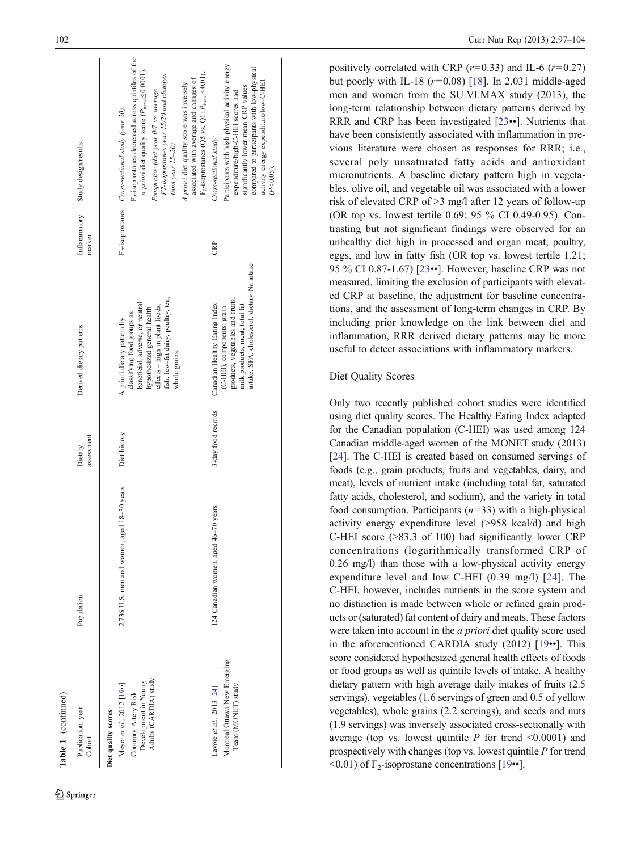| ۰,<br>$\sim$ |  |
|--------------|--|

Table 1 (continued)

| Publication, year<br>Cohort                                                                                                 | Population                                     | assessment<br>Dietary | Derived dietary patterns                                                                                                                                                                                             | Inflammatory<br>marker       | Study design/results                                                                                                                                                                                                                                                                                                                                                                                                          |
|-----------------------------------------------------------------------------------------------------------------------------|------------------------------------------------|-----------------------|----------------------------------------------------------------------------------------------------------------------------------------------------------------------------------------------------------------------|------------------------------|-------------------------------------------------------------------------------------------------------------------------------------------------------------------------------------------------------------------------------------------------------------------------------------------------------------------------------------------------------------------------------------------------------------------------------|
| Adults (CARDIA) study<br>Development in Young<br>Meyer et al., 2012 [19 •• ]<br>Coronary Artery Risk<br>biet quality scores | $2,736$ U.S. men and women, aged $18-30$ years | Diet history          | fish, low-fat dairy, poultry, tea,<br>beneficial, adverse, or neutral<br>effects - high in plant foods,<br>hypothesized general health<br>classifying food groups as<br>A priori dietary pattern by<br>whole grains. | F <sub>2</sub> -isoprostanes | $F_2$ -isoprostanes decreased across quintiles of the<br>a priori diet quality score ( $P_{\text{trend}}{\leq}0.0001$ ).<br>$F_2$ -isoprostanes (Q5 vs. Q1: $P_{\text{trend}}$ <0.01).<br>F2-isoprostanes year 15/20 and changes<br>associated with average and changes of<br>A priori diet quality score was inversely<br>Prospective (diet year 0/7 vs. average<br>Cross-sectional study (year 20):<br>from year $15-20$ ): |
| Montreal Ottawa New Emerging<br>Team (MONET) study<br>Lavoie et al., 2013 [24]                                              | years<br>124 Canadian women, aged 46-70        | 3-day food records    | intake, SFA, cholesterol, dietary Na intake<br>products, vegetables and fruits,<br>milk products, meat; total fat<br>Canadian Healthy Eating Index<br>(C-HEI), components: grain                                     | Ê                            | Participants with high-physical activity energy<br>compared to participants with low-physical<br>activity energy expenditure/low-C-HEI<br>significantly lower mean CRP values<br>expenditure/high-C-HEI scores had<br>Cross-sectional study:<br>(P < 0.05)                                                                                                                                                                    |

positively correlated with CRP  $(r=0.33)$  and IL-6  $(r=0.27)$ but poorly with IL-18 ( $r=0.08$ ) [[18\]](#page-7-0). In 2,031 middle-aged men and women from the SU.VI.MAX study (2013), the long-term relationship between dietary patterns derived by RRR and CRP has been investigated [\[23](#page-7-0)••]. Nutrients that have been consistently associated with inflammation in previous literature were chosen as responses for RRR; i.e., several poly unsaturated fatty acids and antioxidant micronutrients. A baseline dietary pattern high in vegetables, olive oil, and vegetable oil was associated with a lower risk of elevated CRP of >3 mg/l after 12 years of follow-up (OR top vs. lowest tertile 0.69; 95 % CI 0.49-0.95). Contrasting but not significant findings were observed for an unhealthy diet high in processed and organ meat, poultry, eggs, and low in fatty fish (OR top vs. lowest tertile 1.21; 95 % CI 0.87-1.67) [[23](#page-7-0)••]. However, baseline CRP was not measured, limiting the exclusion of participants with elevated CRP at baseline, the adjustment for baseline concentrations, and the assessment of long-term changes in CRP. By including prior knowledge on the link between diet and inflammation, RRR derived dietary patterns may be more useful to detect associations with inflammatory markers.

# Diet Quality Scores

Only two recently published cohort studies were identified using diet quality scores. The Healthy Eating Index adapted for the Canadian population (C-HEI) was used among 124 Canadian middle-aged women of the MONET study (2013) [\[24](#page-7-0)]. The C-HEI is created based on consumed servings of foods (e.g., grain products, fruits and vegetables, dairy, and meat), levels of nutrient intake (including total fat, saturated fatty acids, cholesterol, and sodium), and the variety in total food consumption. Participants  $(n=33)$  with a high-physical activity energy expenditure level (>958 kcal/d) and high C-HEI score (>83.3 of 100) had significantly lower CRP concentrations (logarithmically transformed CRP of 0.26 mg/l) than those with a low-physical activity energy expenditure level and low C-HEI (0.39 mg/l) [[24](#page-7-0)]. The C-HEI, however, includes nutrients in the score system and no distinction is made between whole or refined grain products or (saturated) fat content of dairy and meats. These factors were taken into account in the a priori diet quality score used in the aforementioned CARDIA study (2012) [\[19](#page-7-0)••]. This score considered hypothesized general health effects of foods or food groups as well as quintile levels of intake. A healthy dietary pattern with high average daily intakes of fruits (2.5 servings), vegetables (1.6 servings of green and 0.5 of yellow vegetables), whole grains (2.2 servings), and seeds and nuts (1.9 servings) was inversely associated cross-sectionally with average (top vs. lowest quintile  $P$  for trend <0.0001) and prospectively with changes (top vs. lowest quintile P for trend  $\leq 0.01$ ) of F<sub>2</sub>-isoprostane concentrations [\[19](#page-7-0)••].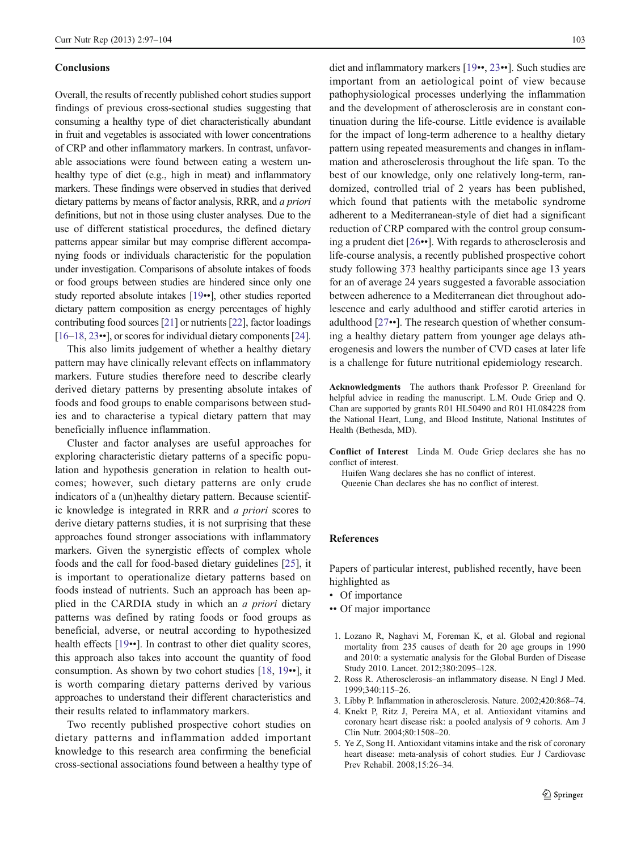#### <span id="page-6-0"></span>Conclusions

Overall, the results of recently published cohort studies support findings of previous cross-sectional studies suggesting that consuming a healthy type of diet characteristically abundant in fruit and vegetables is associated with lower concentrations of CRP and other inflammatory markers. In contrast, unfavorable associations were found between eating a western unhealthy type of diet (e.g., high in meat) and inflammatory markers. These findings were observed in studies that derived dietary patterns by means of factor analysis, RRR, and a priori definitions, but not in those using cluster analyses. Due to the use of different statistical procedures, the defined dietary patterns appear similar but may comprise different accompanying foods or individuals characteristic for the population under investigation. Comparisons of absolute intakes of foods or food groups between studies are hindered since only one study reported absolute intakes [\[19](#page-7-0)••], other studies reported dietary pattern composition as energy percentages of highly contributing food sources [[21](#page-7-0)] or nutrients [[22](#page-7-0)], factor loadings [\[16](#page-7-0)–[18](#page-7-0), [23](#page-7-0)••], or scores for individual dietary components [\[24\]](#page-7-0).

This also limits judgement of whether a healthy dietary pattern may have clinically relevant effects on inflammatory markers. Future studies therefore need to describe clearly derived dietary patterns by presenting absolute intakes of foods and food groups to enable comparisons between studies and to characterise a typical dietary pattern that may beneficially influence inflammation.

Cluster and factor analyses are useful approaches for exploring characteristic dietary patterns of a specific population and hypothesis generation in relation to health outcomes; however, such dietary patterns are only crude indicators of a (un)healthy dietary pattern. Because scientific knowledge is integrated in RRR and a priori scores to derive dietary patterns studies, it is not surprising that these approaches found stronger associations with inflammatory markers. Given the synergistic effects of complex whole foods and the call for food-based dietary guidelines [[25\]](#page-7-0), it is important to operationalize dietary patterns based on foods instead of nutrients. Such an approach has been applied in the CARDIA study in which an a priori dietary patterns was defined by rating foods or food groups as beneficial, adverse, or neutral according to hypothesized health effects [\[19](#page-7-0)••]. In contrast to other diet quality scores, this approach also takes into account the quantity of food consumption. As shown by two cohort studies [[18,](#page-7-0) [19](#page-7-0)••], it is worth comparing dietary patterns derived by various approaches to understand their different characteristics and their results related to inflammatory markers.

Two recently published prospective cohort studies on dietary patterns and inflammation added important knowledge to this research area confirming the beneficial cross-sectional associations found between a healthy type of

diet and inflammatory markers [\[19](#page-7-0)••, [23](#page-7-0)••]. Such studies are important from an aetiological point of view because pathophysiological processes underlying the inflammation and the development of atherosclerosis are in constant continuation during the life-course. Little evidence is available for the impact of long-term adherence to a healthy dietary pattern using repeated measurements and changes in inflammation and atherosclerosis throughout the life span. To the best of our knowledge, only one relatively long-term, randomized, controlled trial of 2 years has been published, which found that patients with the metabolic syndrome adherent to a Mediterranean-style of diet had a significant reduction of CRP compared with the control group consuming a prudent diet [[26](#page-7-0)••]. With regards to atherosclerosis and life-course analysis, a recently published prospective cohort study following 373 healthy participants since age 13 years for an of average 24 years suggested a favorable association between adherence to a Mediterranean diet throughout adolescence and early adulthood and stiffer carotid arteries in adulthood [\[27](#page-7-0)••]. The research question of whether consuming a healthy dietary pattern from younger age delays atherogenesis and lowers the number of CVD cases at later life is a challenge for future nutritional epidemiology research.

Acknowledgments The authors thank Professor P. Greenland for helpful advice in reading the manuscript. L.M. Oude Griep and Q. Chan are supported by grants R01 HL50490 and R01 HL084228 from the National Heart, Lung, and Blood Institute, National Institutes of Health (Bethesda, MD).

Conflict of Interest Linda M. Oude Griep declares she has no conflict of interest.

Huifen Wang declares she has no conflict of interest. Queenie Chan declares she has no conflict of interest.

# References

Papers of particular interest, published recently, have been highlighted as

- Of importance
- Of major importance
- 1. Lozano R, Naghavi M, Foreman K, et al. Global and regional mortality from 235 causes of death for 20 age groups in 1990 and 2010: a systematic analysis for the Global Burden of Disease Study 2010. Lancet. 2012;380:2095–128.
- 2. Ross R. Atherosclerosis–an inflammatory disease. N Engl J Med. 1999;340:115–26.
- 3. Libby P. Inflammation in atherosclerosis. Nature. 2002;420:868–74.
- 4. Knekt P, Ritz J, Pereira MA, et al. Antioxidant vitamins and coronary heart disease risk: a pooled analysis of 9 cohorts. Am J Clin Nutr. 2004;80:1508–20.
- 5. Ye Z, Song H. Antioxidant vitamins intake and the risk of coronary heart disease: meta-analysis of cohort studies. Eur J Cardiovasc Prev Rehabil. 2008;15:26–34.